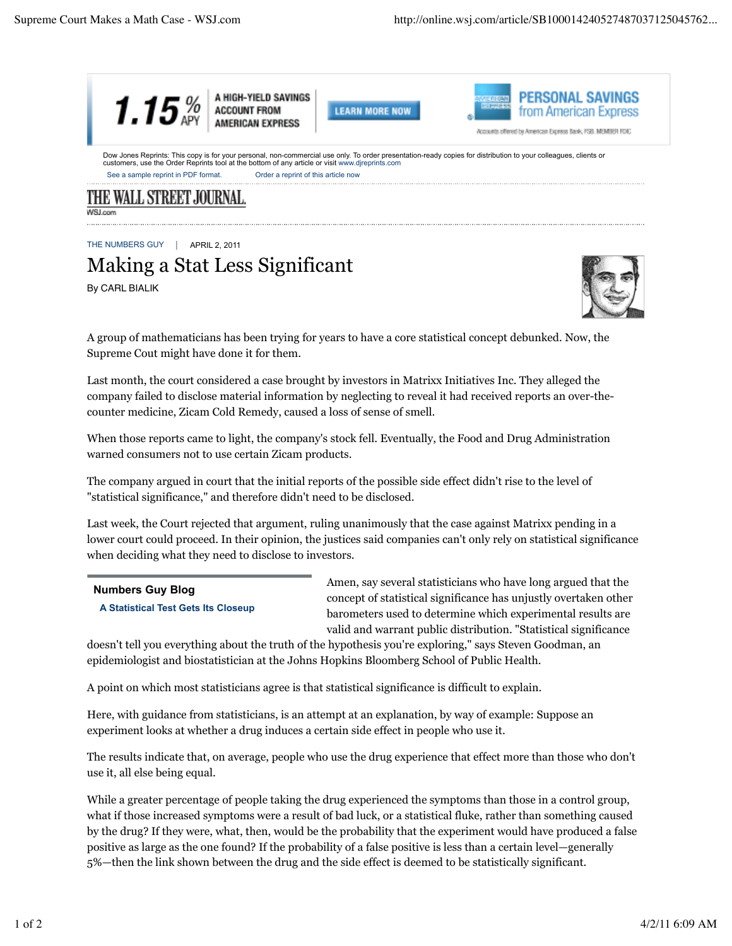

THE NUMBERS GUY | APRIL 2, 2011

## Making a Stat Less Significant

By CARL BIALIK



A group of mathematicians has been trying for years to have a core statistical concept debunked. Now, the Supreme Cout might have done it for them.

Last month, the court considered a case brought by investors in Matrixx Initiatives Inc. They alleged the company failed to disclose material information by neglecting to reveal it had received reports an over-thecounter medicine, Zicam Cold Remedy, caused a loss of sense of smell.

When those reports came to light, the company's stock fell. Eventually, the Food and Drug Administration warned consumers not to use certain Zicam products.

The company argued in court that the initial reports of the possible side effect didn't rise to the level of "statistical significance," and therefore didn't need to be disclosed.

Last week, the Court rejected that argument, ruling unanimously that the case against Matrixx pending in a lower court could proceed. In their opinion, the justices said companies can't only rely on statistical significance when deciding what they need to disclose to investors.

## **Numbers Guy Blog**

**A Statistical Test Gets Its Closeup**

Amen, say several statisticians who have long argued that the concept of statistical significance has unjustly overtaken other barometers used to determine which experimental results are valid and warrant public distribution. "Statistical significance

doesn't tell you everything about the truth of the hypothesis you're exploring," says Steven Goodman, an epidemiologist and biostatistician at the Johns Hopkins Bloomberg School of Public Health.

A point on which most statisticians agree is that statistical significance is difficult to explain.

Here, with guidance from statisticians, is an attempt at an explanation, by way of example: Suppose an experiment looks at whether a drug induces a certain side effect in people who use it.

The results indicate that, on average, people who use the drug experience that effect more than those who don't use it, all else being equal.

While a greater percentage of people taking the drug experienced the symptoms than those in a control group, what if those increased symptoms were a result of bad luck, or a statistical fluke, rather than something caused by the drug? If they were, what, then, would be the probability that the experiment would have produced a false positive as large as the one found? If the probability of a false positive is less than a certain level—generally 5%—then the link shown between the drug and the side effect is deemed to be statistically significant.